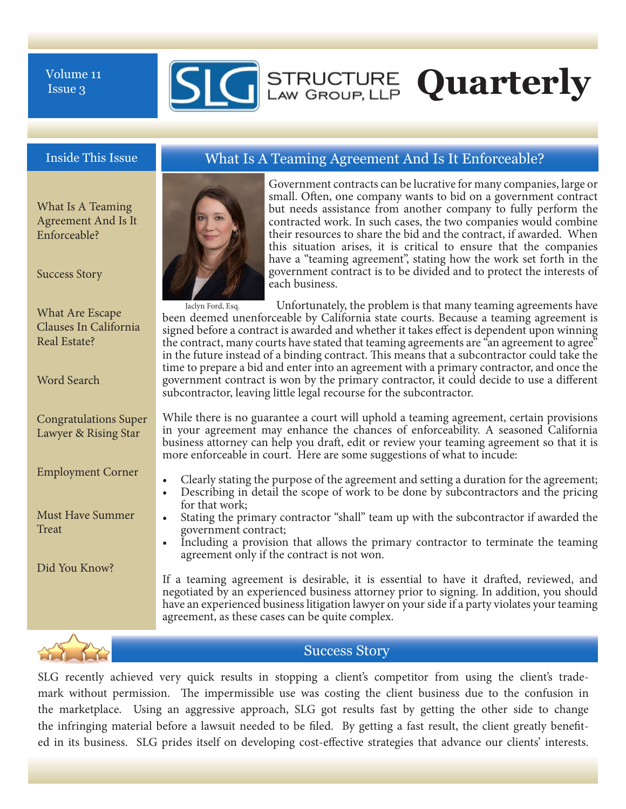Issue 3



What Is A Teaming Agreement And Is It Enforceable?

Success Story

Real Estate?

Word Search

Congratulations Super Lawyer & Rising Star

Employment Corner

Must Have Summer

**Treat** 

What Are Escape Clauses In California

Government contracts can be lucrative for many companies, large or small. Often, one company wants to bid on a government contract but needs assistance from another company to fully perform the contracted work. In such cases, the two companies would combine their resources to share the bid and the contract, if awarded. When this situation arises, it is critical to ensure that the companies have a "teaming agreement", stating how the work set forth in the government contract is to be divided and to protect the interests of each business.

 Unfortunately, the problem is that many teaming agreements have been deemed unenforceable by California state courts. Because a teaming agreement is signed before a contract is awarded and whether it takes efect is dependent upon winning the contract, many courts have stated that teaming agreements are "an agreement to agree" in the future instead of a binding contract. Tis means that a subcontractor could take the time to prepare a bid and enter into an agreement with a primary contractor, and once the government contract is won by the primary contractor, it could decide to use a diferent subcontractor, leaving little legal recourse for the subcontractor. Jaclyn Ford, Esq.

While there is no guarantee a court will uphold a teaming agreement, certain provisions in your agreement may enhance the chances of enforceability. A seasoned California business attorney can help you draf, edit or review your teaming agreement so that it is more enforceable in court. Here are some suggestions of what to incude:

- Clearly stating the purpose of the agreement and setting a duration for the agreement;
- Describing in detail the scope of work to be done by subcontractors and the pricing for that work;
- Stating the primary contractor "shall" team up with the subcontractor if awarded the government contract;
- Including a provision that allows the primary contractor to terminate the teaming agreement only if the contract is not won.

If a teaming agreement is desirable, it is essential to have it drafed, reviewed, and negotiated by an experienced business attorney prior to signing. In addition, you should have an experienced business litigation lawyer on your side if a party violates your teaming agreement, as these cases can be quite complex.



Did You Know?

Success Story

SLG recently achieved very quick results in stopping a client's competitor from using the client's trademark without permission. The impermissible use was costing the client business due to the confusion in the marketplace. Using an aggressive approach, SLG got results fast by getting the other side to change the infringing material before a lawsuit needed to be fled. By getting a fast result, the client greatly benefted in its business. SLG prides itself on developing cost-efective strategies that advance our clients' interests.

# Inside This Issue What Is A Teaming Agreement And Is It Enforceable?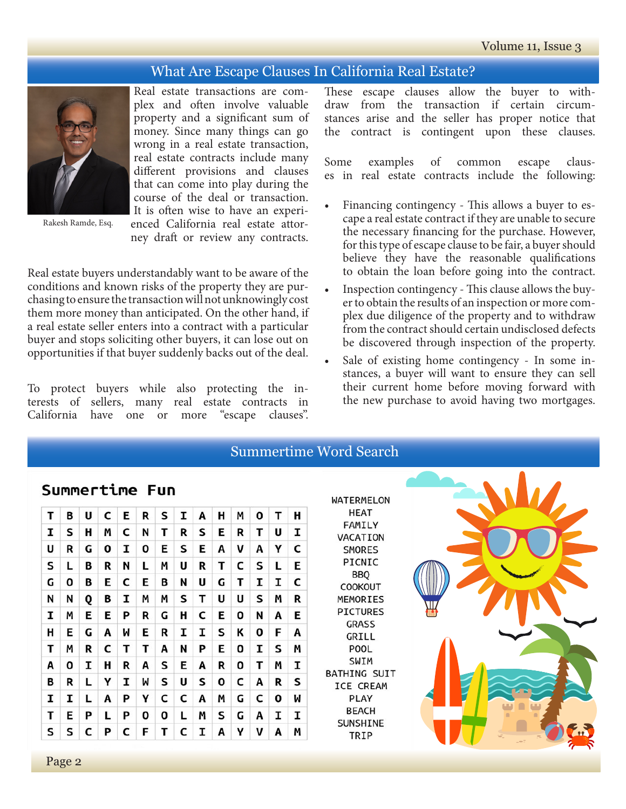### What Are Escape Clauses In California Real Estate?



Real estate transactions are complex and often involve valuable property and a signifcant sum of money. Since many things can go wrong in a real estate transaction, real estate contracts include many diferent provisions and clauses that can come into play during the course of the deal or transaction. It is often wise to have an experienced California real estate attor-

Rakesh Ramde, Esq.

ney draft or review any contracts.

Real estate buyers understandably want to be aware of the conditions and known risks of the property they are purchasing to ensure the transaction will not unknowingly cost them more money than anticipated. On the other hand, if a real estate seller enters into a contract with a particular buyer and stops soliciting other buyers, it can lose out on opportunities if that buyer suddenly backs out of the deal.

To protect buyers while also protecting the interests of sellers, many real estate contracts in California have one or more "escape clauses".

These escape clauses allow the buyer to withdraw from the transaction if certain circumstances arise and the seller has proper notice that the contract is contingent upon these clauses.

Some examples of common escape clauses in real estate contracts include the following:

- Financing contingency This allows a buyer to escape a real estate contract if they are unable to secure the necessary fnancing for the purchase. However, for this type of escape clause to be fair, a buyer should believe they have the reasonable qualifcations to obtain the loan before going into the contract.
- Inspection contingency This clause allows the buyer to obtain the results of an inspection or more complex due diligence of the property and to withdraw from the contract should certain undisclosed defects be discovered through inspection of the property.
- Sale of existing home contingency In some instances, a buyer will want to ensure they can sell their current home before moving forward with the new purchase to avoid having two mortgages.

|   | <b>Summertime Word Search</b> |   |              |   |              |   |   |   |   |   |   |                   |   |                                  |
|---|-------------------------------|---|--------------|---|--------------|---|---|---|---|---|---|-------------------|---|----------------------------------|
|   | Summertime Fun                |   |              |   |              |   |   |   |   |   |   | <b>WATERMELON</b> |   |                                  |
| т | В                             | U | C            | Е | R            | S | I | Α | н | M | 0 | т                 | н | HEAT<br>FAMILY                   |
| I | S                             | н | M            | C | N            | т | R | S | Е | R | т | U                 | I | VACATION                         |
| U | R                             | G | $\mathbf{o}$ | I | $\mathbf{o}$ | Е | S | Е | A | v | A | Υ                 | C | <b>SMORES</b>                    |
| S | L                             | в | R            | N | L            | Μ | U | R | т | С | s | L                 | Е | PICNIC                           |
| G | $\mathbf{O}$                  | в | Е            | C | Е            | В | N | U | G | т | I | I                 | C | <b>BBQ</b><br><b>COOKOUT</b>     |
| N | N                             | Q | B            | I | M            | Μ | S | т | U | U | S | M                 | R | MEMORIES                         |
| I | M                             | E | Е            | P | R            | G | н | C | Е | 0 | N | A                 | Е | <b>PICTURES</b>                  |
| н | E                             | G | Α            | W | Е            | R | I | I | S | К | 0 | F                 | A | <b>GRASS</b><br>GRILL            |
| т | M                             | R | C            | т | т            | Α | N | P | Е | 0 | I | S                 | M | POOL                             |
| A | 0                             | I | н            | R | A            | S | Е | Α | R | 0 | т | M                 | I | SWIM                             |
| В | R                             | L | Υ            | I | M            | S | U | S | 0 | C | A | R                 | S | <b>BATHING SUIT</b><br>ICE CREAM |
| I | I                             | L | Α            | P | Υ            | C | C | A | M | G | C | 0                 | W | <b>PLAY</b>                      |
| т | Е                             | P | L            | P | $\mathbf{o}$ | O | L | M | S | G | A | I                 | I | <b>BEACH</b>                     |
| S | S                             | C | P            | C | F            | Т | C | I | Α | γ | ν | A                 | M | SUNSHINE<br>TRIP                 |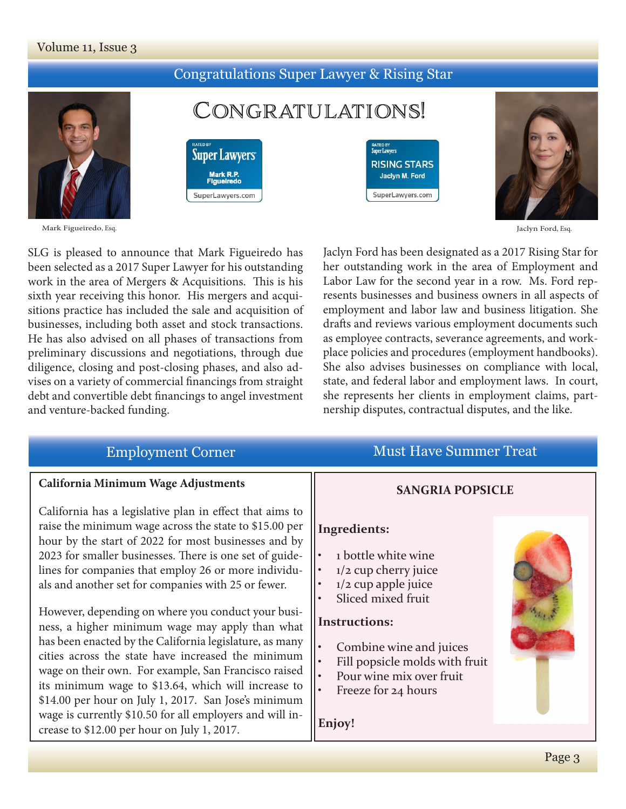#### Volume 11, Issue 3

## Congratulations Super Lawyer & Rising Star



CONGRATULATIONS!



**Super Lawyers** 

SuperLawyers.com





Jaclyn Ford, Esq.

SLG is pleased to announce that Mark Figueiredo has been selected as a 2017 Super Lawyer for his outstanding work in the area of Mergers & Acquisitions. This is his sixth year receiving this honor. His mergers and acquisitions practice has included the sale and acquisition of businesses, including both asset and stock transactions. He has also advised on all phases of transactions from preliminary discussions and negotiations, through due diligence, closing and post-closing phases, and also advises on a variety of commercial fnancings from straight debt and convertible debt fnancings to angel investment and venture-backed funding.

Jaclyn Ford has been designated as a 2017 Rising Star for her outstanding work in the area of Employment and Labor Law for the second year in a row. Ms. Ford represents businesses and business owners in all aspects of employment and labor law and business litigation. She drafts and reviews various employment documents such as employee contracts, severance agreements, and workplace policies and procedures (employment handbooks). She also advises businesses on compliance with local, state, and federal labor and employment laws. In court, she represents her clients in employment claims, partnership disputes, contractual disputes, and the like.

| <b>Employment Corner</b>                                                                                                                                                                                                                                                                                                                                                                                                                                                                                 | <b>Must Have Summer Treat</b>                                                                                                                  |  |  |
|----------------------------------------------------------------------------------------------------------------------------------------------------------------------------------------------------------------------------------------------------------------------------------------------------------------------------------------------------------------------------------------------------------------------------------------------------------------------------------------------------------|------------------------------------------------------------------------------------------------------------------------------------------------|--|--|
| California Minimum Wage Adjustments                                                                                                                                                                                                                                                                                                                                                                                                                                                                      | <b>SANGRIA POPSICLE</b>                                                                                                                        |  |  |
| California has a legislative plan in effect that aims to<br>raise the minimum wage across the state to \$15.00 per<br>hour by the start of 2022 for most businesses and by<br>2023 for smaller businesses. There is one set of guide-<br>lines for companies that employ 26 or more individu-<br>als and another set for companies with 25 or fewer.                                                                                                                                                     | <b>Ingredients:</b><br>1 bottle white wine<br>$\bullet$<br>1/2 cup cherry juice<br>$1/2$ cup apple juice<br>Sliced mixed fruit                 |  |  |
| However, depending on where you conduct your busi-<br>ness, a higher minimum wage may apply than what<br>has been enacted by the California legislature, as many<br>cities across the state have increased the minimum<br>wage on their own. For example, San Francisco raised<br>its minimum wage to \$13.64, which will increase to<br>\$14.00 per hour on July 1, 2017. San Jose's minimum<br>wage is currently \$10.50 for all employers and will in-<br>crease to \$12.00 per hour on July 1, 2017. | <b>Instructions:</b><br>Combine wine and juices<br>Fill popsicle molds with fruit<br>Pour wine mix over fruit<br>Freeze for 24 hours<br>Enjoy! |  |  |